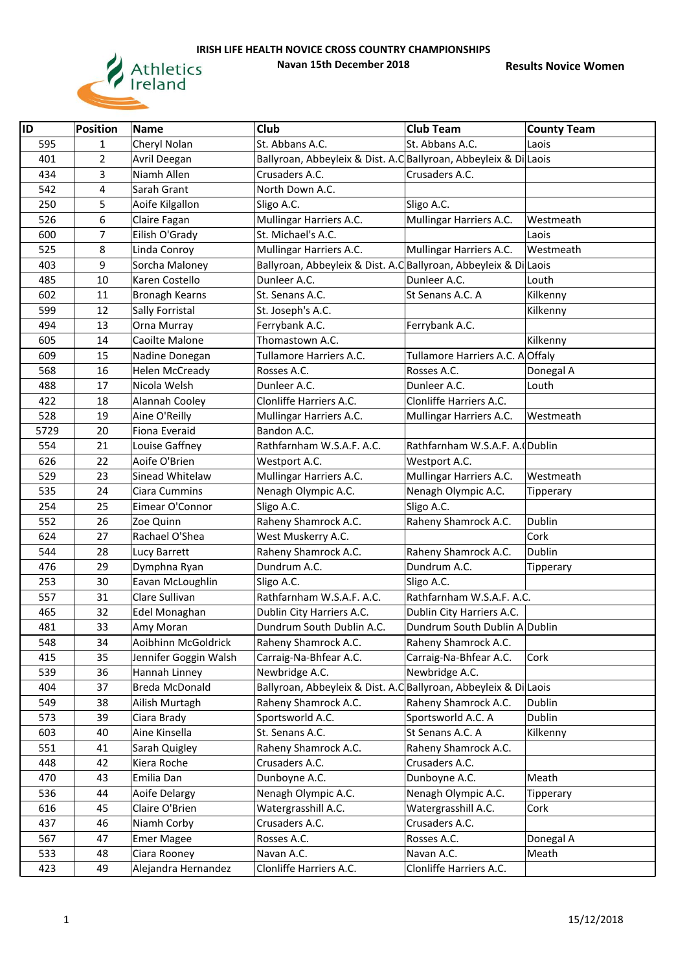

| ID   | <b>Position</b> | <b>Name</b>           | Club                                                             | <b>Club Team</b>                 | <b>County Team</b> |
|------|-----------------|-----------------------|------------------------------------------------------------------|----------------------------------|--------------------|
| 595  | 1               | Cheryl Nolan          | St. Abbans A.C.                                                  | St. Abbans A.C.                  | Laois              |
| 401  | $\overline{2}$  | Avril Deegan          | Ballyroan, Abbeyleix & Dist. A.C Ballyroan, Abbeyleix & Di Laois |                                  |                    |
| 434  | 3               | Niamh Allen           | Crusaders A.C.                                                   | Crusaders A.C.                   |                    |
| 542  | 4               | Sarah Grant           | North Down A.C.                                                  |                                  |                    |
| 250  | 5               | Aoife Kilgallon       | Sligo A.C.                                                       | Sligo A.C.                       |                    |
| 526  | 6               | Claire Fagan          | Mullingar Harriers A.C.                                          | Mullingar Harriers A.C.          | Westmeath          |
| 600  | $\overline{7}$  | Eilish O'Grady        | St. Michael's A.C.                                               |                                  | Laois              |
| 525  | 8               | Linda Conroy          | Mullingar Harriers A.C.                                          | Mullingar Harriers A.C.          | Westmeath          |
| 403  | 9               | Sorcha Maloney        | Ballyroan, Abbeyleix & Dist. A.C Ballyroan, Abbeyleix & Di Laois |                                  |                    |
| 485  | 10              | Karen Costello        | Dunleer A.C.                                                     | Dunleer A.C.                     | Louth              |
| 602  | 11              | <b>Bronagh Kearns</b> | St. Senans A.C.                                                  | St Senans A.C. A                 | Kilkenny           |
| 599  | 12              | Sally Forristal       | St. Joseph's A.C.                                                |                                  | Kilkenny           |
| 494  | 13              | Orna Murray           | Ferrybank A.C.                                                   | Ferrybank A.C.                   |                    |
| 605  | 14              | Caoilte Malone        | Thomastown A.C.                                                  |                                  | Kilkenny           |
| 609  | 15              | Nadine Donegan        | Tullamore Harriers A.C.                                          | Tullamore Harriers A.C. A Offaly |                    |
| 568  | 16              | <b>Helen McCready</b> | Rosses A.C.                                                      | Rosses A.C.                      | Donegal A          |
| 488  | 17              | Nicola Welsh          | Dunleer A.C.                                                     | Dunleer A.C.                     | Louth              |
| 422  | 18              | Alannah Cooley        | Clonliffe Harriers A.C.                                          | Clonliffe Harriers A.C.          |                    |
| 528  | 19              | Aine O'Reilly         | Mullingar Harriers A.C.                                          | Mullingar Harriers A.C.          | Westmeath          |
| 5729 | 20              | Fiona Everaid         | Bandon A.C.                                                      |                                  |                    |
| 554  | 21              | Louise Gaffney        | Rathfarnham W.S.A.F. A.C.                                        | Rathfarnham W.S.A.F. A. Dublin   |                    |
| 626  | 22              | Aoife O'Brien         | Westport A.C.                                                    | Westport A.C.                    |                    |
| 529  | 23              | Sinead Whitelaw       | Mullingar Harriers A.C.                                          | Mullingar Harriers A.C.          | Westmeath          |
| 535  | 24              | Ciara Cummins         | Nenagh Olympic A.C.                                              | Nenagh Olympic A.C.              | Tipperary          |
| 254  | 25              | Eimear O'Connor       | Sligo A.C.                                                       | Sligo A.C.                       |                    |
| 552  | 26              | Zoe Quinn             | Raheny Shamrock A.C.                                             | Raheny Shamrock A.C.             | Dublin             |
| 624  | 27              | Rachael O'Shea        | West Muskerry A.C.                                               |                                  | Cork               |
| 544  | 28              | Lucy Barrett          | Raheny Shamrock A.C.                                             | Raheny Shamrock A.C.             | Dublin             |
| 476  | 29              | Dymphna Ryan          | Dundrum A.C.                                                     | Dundrum A.C.                     | Tipperary          |
| 253  | 30              | Eavan McLoughlin      | Sligo A.C.                                                       | Sligo A.C.                       |                    |
| 557  | 31              | Clare Sullivan        | Rathfarnham W.S.A.F. A.C.                                        | Rathfarnham W.S.A.F. A.C.        |                    |
| 465  | 32              | Edel Monaghan         | Dublin City Harriers A.C.                                        | Dublin City Harriers A.C.        |                    |
| 481  | 33              | Amy Moran             | Dundrum South Dublin A.C.                                        | Dundrum South Dublin A Dublin    |                    |
| 548  | 34              | Aoibhinn McGoldrick   | Raheny Shamrock A.C.                                             | Raheny Shamrock A.C.             |                    |
| 415  | 35              | Jennifer Goggin Walsh | Carraig-Na-Bhfear A.C.                                           | Carraig-Na-Bhfear A.C.           | Cork               |
| 539  | 36              | Hannah Linney         | Newbridge A.C.                                                   | Newbridge A.C.                   |                    |
| 404  | 37              | Breda McDonald        | Ballyroan, Abbeyleix & Dist. A.C Ballyroan, Abbeyleix & Di Laois |                                  |                    |
| 549  | 38              | Ailish Murtagh        | Raheny Shamrock A.C.                                             | Raheny Shamrock A.C.             | Dublin             |
| 573  | 39              | Ciara Brady           | Sportsworld A.C.                                                 | Sportsworld A.C. A               | Dublin             |
| 603  | 40              | Aine Kinsella         | St. Senans A.C.                                                  | St Senans A.C. A                 | Kilkenny           |
| 551  | 41              | Sarah Quigley         | Raheny Shamrock A.C.                                             | Raheny Shamrock A.C.             |                    |
| 448  | 42              | Kiera Roche           | Crusaders A.C.                                                   | Crusaders A.C.                   |                    |
| 470  | 43              | Emilia Dan            | Dunboyne A.C.                                                    | Dunboyne A.C.                    | Meath              |
| 536  | 44              | Aoife Delargy         | Nenagh Olympic A.C.                                              | Nenagh Olympic A.C.              | Tipperary          |
| 616  | 45              | Claire O'Brien        | Watergrasshill A.C.                                              | Watergrasshill A.C.              | Cork               |
| 437  | 46              | Niamh Corby           | Crusaders A.C.                                                   | Crusaders A.C.                   |                    |
| 567  | 47              | <b>Emer Magee</b>     | Rosses A.C.                                                      | Rosses A.C.                      | Donegal A          |
| 533  | 48              | Ciara Rooney          | Navan A.C.                                                       | Navan A.C.                       | Meath              |
| 423  | 49              | Alejandra Hernandez   | Clonliffe Harriers A.C.                                          | Clonliffe Harriers A.C.          |                    |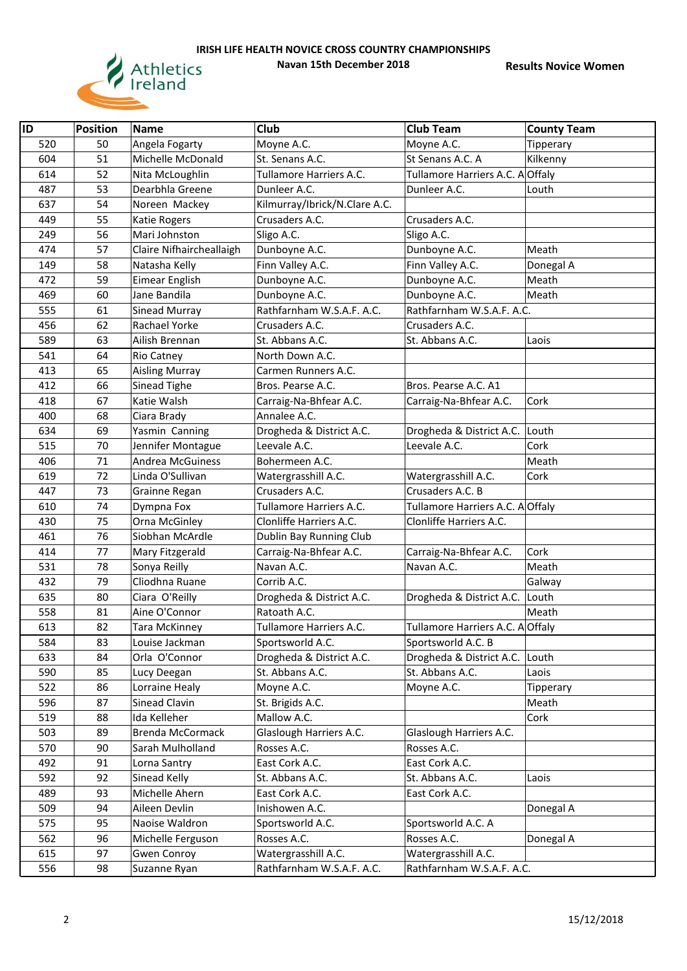

| ID         | <b>Position</b> | <b>Name</b>                                  | Club                                              | <b>Club Team</b>                               | <b>County Team</b>    |
|------------|-----------------|----------------------------------------------|---------------------------------------------------|------------------------------------------------|-----------------------|
| 520        | 50              |                                              | Moyne A.C.                                        | Moyne A.C.                                     |                       |
| 604        | 51              | Angela Fogarty<br>Michelle McDonald          | St. Senans A.C.                                   | St Senans A.C. A                               | Tipperary<br>Kilkenny |
| 614        | 52              |                                              | Tullamore Harriers A.C.                           | Tullamore Harriers A.C. A Offaly               |                       |
| 487        |                 | Nita McLoughlin<br>Dearbhla Greene           |                                                   |                                                | Louth                 |
| 637        | 53<br>54        |                                              | Dunleer A.C.<br>Kilmurray/Ibrick/N.Clare A.C.     | Dunleer A.C.                                   |                       |
| 449        | 55              | Noreen Mackey                                | Crusaders A.C.                                    | Crusaders A.C.                                 |                       |
|            | 56              | <b>Katie Rogers</b>                          |                                                   | Sligo A.C.                                     |                       |
| 249<br>474 | 57              | Mari Johnston<br>Claire Nifhaircheallaigh    | Sligo A.C.                                        | Dunboyne A.C.                                  |                       |
| 149        | 58              |                                              | Dunboyne A.C.<br>Finn Valley A.C.                 | Finn Valley A.C.                               | Meath                 |
| 472        | 59              | Natasha Kelly<br>Eimear English              | Dunboyne A.C.                                     | Dunboyne A.C.                                  | Donegal A<br>Meath    |
| 469        | 60              | Jane Bandila                                 | Dunboyne A.C.                                     | Dunboyne A.C.                                  | Meath                 |
| 555        | 61              |                                              | Rathfarnham W.S.A.F. A.C.                         | Rathfarnham W.S.A.F. A.C.                      |                       |
| 456        | 62              | Sinead Murray<br>Rachael Yorke               |                                                   |                                                |                       |
|            | 63              |                                              | Crusaders A.C.<br>St. Abbans A.C.                 | Crusaders A.C.<br>St. Abbans A.C.              |                       |
| 589<br>541 | 64              | Ailish Brennan                               |                                                   |                                                | Laois                 |
|            |                 | Rio Catney                                   | North Down A.C.                                   |                                                |                       |
| 413        | 65              | <b>Aisling Murray</b>                        | Carmen Runners A.C.                               |                                                |                       |
| 412<br>418 | 66<br>67        | Sinead Tighe<br>Katie Walsh                  | Bros. Pearse A.C.                                 | Bros. Pearse A.C. A1                           | Cork                  |
| 400        |                 |                                              | Carraig-Na-Bhfear A.C.<br>Annalee A.C.            | Carraig-Na-Bhfear A.C.                         |                       |
| 634        | 68<br>69        | Ciara Brady                                  |                                                   |                                                |                       |
|            |                 | Yasmin Canning                               | Drogheda & District A.C.<br>Leevale A.C.          | Drogheda & District A.C.<br>Leevale A.C.       | Louth<br>Cork         |
| 515<br>406 | 70<br>71        | Jennifer Montague<br><b>Andrea McGuiness</b> | Bohermeen A.C.                                    |                                                | Meath                 |
| 619        | 72              | Linda O'Sullivan                             |                                                   |                                                | Cork                  |
|            |                 |                                              | Watergrasshill A.C.<br>Crusaders A.C.             | Watergrasshill A.C.<br>Crusaders A.C. B        |                       |
| 447<br>610 | 73<br>74        | Grainne Regan                                | Tullamore Harriers A.C.                           |                                                |                       |
|            |                 | Dympna Fox                                   |                                                   | Tullamore Harriers A.C. A Offaly               |                       |
| 430<br>461 | 75<br>76        | Orna McGinley<br>Siobhan McArdle             | Clonliffe Harriers A.C.                           | Clonliffe Harriers A.C.                        |                       |
| 414        | 77              |                                              | Dublin Bay Running Club<br>Carraig-Na-Bhfear A.C. | Carraig-Na-Bhfear A.C.                         | Cork                  |
| 531        | 78              | Mary Fitzgerald<br>Sonya Reilly              | Navan A.C.                                        | Navan A.C.                                     | Meath                 |
| 432        | 79              | Cliodhna Ruane                               | Corrib A.C.                                       |                                                | Galway                |
| 635        | 80              |                                              |                                                   |                                                | Louth                 |
| 558        | 81              | Ciara O'Reilly<br>Aine O'Connor              | Drogheda & District A.C.<br>Ratoath A.C.          | Drogheda & District A.C.                       | Meath                 |
| 613        | 82              |                                              |                                                   | Tullamore Harriers A.C. A Offaly               |                       |
|            |                 | Tara McKinney                                | Tullamore Harriers A.C.                           |                                                |                       |
| 584        | 83              | Louise Jackman<br>Orla O'Connor              | Sportsworld A.C.<br>Drogheda & District A.C.      | Sportsworld A.C. B<br>Drogheda & District A.C. |                       |
| 633<br>590 | 84<br>85        |                                              | St. Abbans A.C.                                   | St. Abbans A.C.                                | Louth                 |
| 522        | 86              | Lucy Deegan<br>Lorraine Healy                | Moyne A.C.                                        | Moyne A.C.                                     | Laois                 |
| 596        | 87              | Sinead Clavin                                | St. Brigids A.C.                                  |                                                | Tipperary<br>Meath    |
| 519        | 88              | Ida Kelleher                                 | Mallow A.C.                                       |                                                | Cork                  |
| 503        | 89              | Brenda McCormack                             | Glaslough Harriers A.C.                           | Glaslough Harriers A.C.                        |                       |
| 570        | 90              | Sarah Mulholland                             | Rosses A.C.                                       | Rosses A.C.                                    |                       |
| 492        | 91              |                                              | East Cork A.C.                                    | East Cork A.C.                                 |                       |
| 592        | 92              | Lorna Santry                                 | St. Abbans A.C.                                   | St. Abbans A.C.                                |                       |
|            |                 | Sinead Kelly                                 |                                                   |                                                | Laois                 |
| 489        | 93              | Michelle Ahern                               | East Cork A.C.                                    | East Cork A.C.                                 |                       |
| 509        | 94              | Aileen Devlin                                | Inishowen A.C.                                    |                                                | Donegal A             |
| 575<br>562 | 95<br>96        | Naoise Waldron                               | Sportsworld A.C.<br>Rosses A.C.                   | Sportsworld A.C. A<br>Rosses A.C.              |                       |
| 615        |                 | Michelle Ferguson                            |                                                   |                                                | Donegal A             |
|            | 97              | Gwen Conroy                                  | Watergrasshill A.C.                               | Watergrasshill A.C.                            |                       |
| 556        | 98              | Suzanne Ryan                                 | Rathfarnham W.S.A.F. A.C.                         | Rathfarnham W.S.A.F. A.C.                      |                       |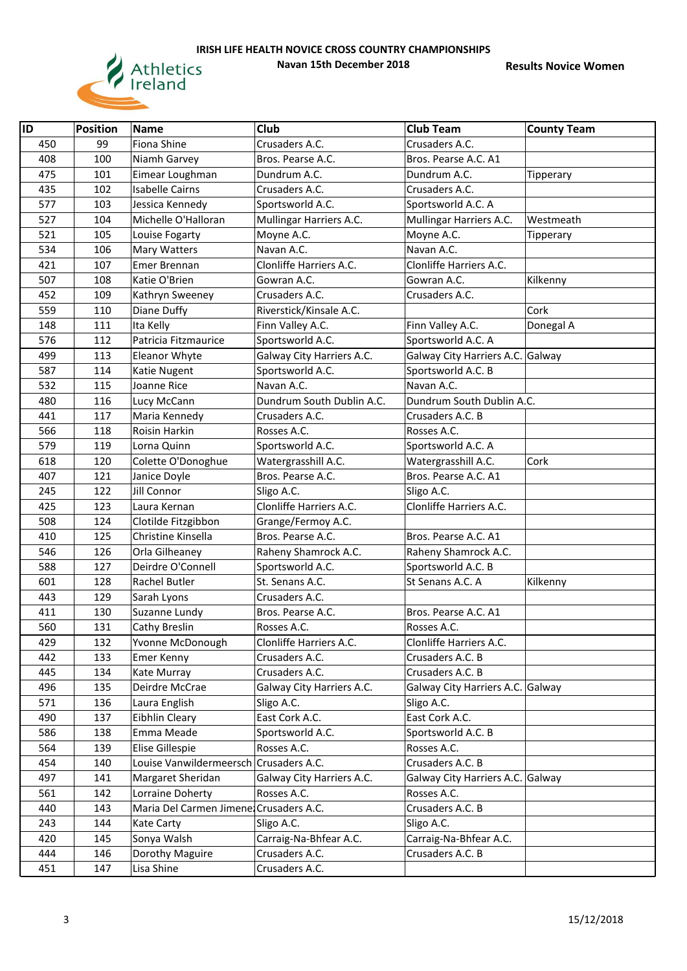

| ID  | <b>Position</b> | <b>Name</b>                             | Club                      | <b>Club Team</b>                 | <b>County Team</b> |
|-----|-----------------|-----------------------------------------|---------------------------|----------------------------------|--------------------|
| 450 | 99              | Fiona Shine                             | Crusaders A.C.            | Crusaders A.C.                   |                    |
| 408 | 100             | Niamh Garvey                            | Bros. Pearse A.C.         | Bros. Pearse A.C. A1             |                    |
| 475 | 101             | Eimear Loughman                         | Dundrum A.C.              | Dundrum A.C.                     | Tipperary          |
| 435 | 102             | <b>Isabelle Cairns</b>                  | Crusaders A.C.            | Crusaders A.C.                   |                    |
| 577 | 103             | Jessica Kennedy                         | Sportsworld A.C.          | Sportsworld A.C. A               |                    |
| 527 | 104             | Michelle O'Halloran                     | Mullingar Harriers A.C.   | Mullingar Harriers A.C.          | Westmeath          |
| 521 | 105             | Louise Fogarty                          | Moyne A.C.                | Moyne A.C.                       |                    |
| 534 | 106             | Mary Watters                            | Navan A.C.                | Navan A.C.                       | Tipperary          |
| 421 | 107             | Emer Brennan                            | Clonliffe Harriers A.C.   | Clonliffe Harriers A.C.          |                    |
| 507 | 108             | Katie O'Brien                           | Gowran A.C.               | Gowran A.C.                      | Kilkenny           |
| 452 | 109             | Kathryn Sweeney                         | Crusaders A.C.            | Crusaders A.C.                   |                    |
| 559 | 110             | Diane Duffy                             | Riverstick/Kinsale A.C.   |                                  | Cork               |
| 148 | 111             | Ita Kelly                               | Finn Valley A.C.          | Finn Valley A.C.                 | Donegal A          |
| 576 | 112             | Patricia Fitzmaurice                    | Sportsworld A.C.          | Sportsworld A.C. A               |                    |
| 499 | 113             | Eleanor Whyte                           | Galway City Harriers A.C. | Galway City Harriers A.C. Galway |                    |
| 587 | 114             | Katie Nugent                            | Sportsworld A.C.          | Sportsworld A.C. B               |                    |
| 532 | 115             | Joanne Rice                             | Navan A.C.                | Navan A.C.                       |                    |
| 480 | 116             | Lucy McCann                             | Dundrum South Dublin A.C. | Dundrum South Dublin A.C.        |                    |
| 441 | 117             | Maria Kennedy                           | Crusaders A.C.            | Crusaders A.C. B                 |                    |
| 566 | 118             | Roisin Harkin                           | Rosses A.C.               | Rosses A.C.                      |                    |
| 579 | 119             | Lorna Quinn                             | Sportsworld A.C.          | Sportsworld A.C. A               |                    |
| 618 | 120             | Colette O'Donoghue                      | Watergrasshill A.C.       | Watergrasshill A.C.              | Cork               |
| 407 | 121             | Janice Doyle                            | Bros. Pearse A.C.         | Bros. Pearse A.C. A1             |                    |
| 245 | 122             | Jill Connor                             | Sligo A.C.                | Sligo A.C.                       |                    |
| 425 | 123             | Laura Kernan                            | Clonliffe Harriers A.C.   | Clonliffe Harriers A.C.          |                    |
| 508 | 124             | Clotilde Fitzgibbon                     | Grange/Fermoy A.C.        |                                  |                    |
| 410 | 125             | Christine Kinsella                      | Bros. Pearse A.C.         | Bros. Pearse A.C. A1             |                    |
| 546 | 126             | Orla Gilheaney                          | Raheny Shamrock A.C.      | Raheny Shamrock A.C.             |                    |
| 588 | 127             | Deirdre O'Connell                       | Sportsworld A.C.          | Sportsworld A.C. B               |                    |
| 601 | 128             | Rachel Butler                           | St. Senans A.C.           | St Senans A.C. A                 | Kilkenny           |
| 443 | 129             | Sarah Lyons                             | Crusaders A.C.            |                                  |                    |
| 411 | 130             | Suzanne Lundy                           | Bros. Pearse A.C.         | Bros. Pearse A.C. A1             |                    |
| 560 | 131             | Cathy Breslin                           | Rosses A.C.               | Rosses A.C.                      |                    |
| 429 | 132             | Yvonne McDonough                        | Clonliffe Harriers A.C.   | Clonliffe Harriers A.C.          |                    |
| 442 | 133             | Emer Kenny                              | Crusaders A.C.            | Crusaders A.C. B                 |                    |
| 445 | 134             | Kate Murray                             | Crusaders A.C.            | Crusaders A.C. B                 |                    |
| 496 | 135             | Deirdre McCrae                          | Galway City Harriers A.C. | Galway City Harriers A.C. Galway |                    |
| 571 | 136             | Laura English                           | Sligo A.C.                | Sligo A.C.                       |                    |
| 490 | 137             | Eibhlin Cleary                          | East Cork A.C.            | East Cork A.C.                   |                    |
| 586 | 138             | Emma Meade                              | Sportsworld A.C.          | Sportsworld A.C. B               |                    |
| 564 | 139             | Elise Gillespie                         | Rosses A.C.               | Rosses A.C.                      |                    |
| 454 | 140             | Louise Vanwildermeersch Crusaders A.C.  |                           | Crusaders A.C. B                 |                    |
| 497 | 141             | Margaret Sheridan                       | Galway City Harriers A.C. | Galway City Harriers A.C. Galway |                    |
| 561 | 142             | Lorraine Doherty                        | Rosses A.C.               | Rosses A.C.                      |                    |
| 440 | 143             | Maria Del Carmen Jimene: Crusaders A.C. |                           | Crusaders A.C. B                 |                    |
| 243 | 144             | Kate Carty                              | Sligo A.C.                | Sligo A.C.                       |                    |
| 420 | 145             | Sonya Walsh                             | Carraig-Na-Bhfear A.C.    | Carraig-Na-Bhfear A.C.           |                    |
| 444 | 146             | Dorothy Maguire                         | Crusaders A.C.            | Crusaders A.C. B                 |                    |
| 451 | 147             | Lisa Shine                              | Crusaders A.C.            |                                  |                    |
|     |                 |                                         |                           |                                  |                    |